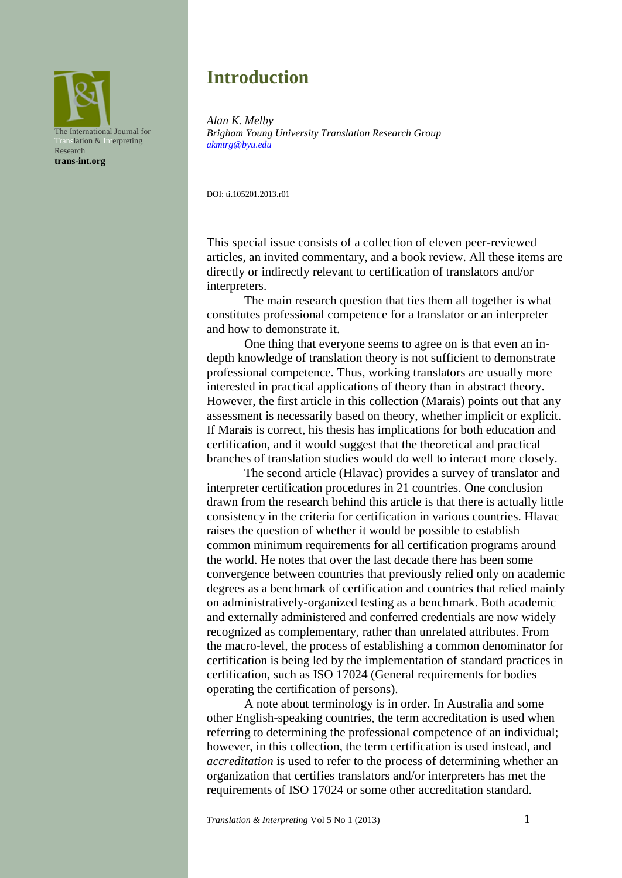

# **Introduction**

*Alan K. Melby Brigham Young University Translation Research Group [akmtrg@byu.edu](mailto:akmtrg@byu.edu)*

DOI: ti.105201.2013.r01

This special issue consists of a collection of eleven peer-reviewed articles, an invited commentary, and a book review. All these items are directly or indirectly relevant to certification of translators and/or interpreters.

The main research question that ties them all together is what constitutes professional competence for a translator or an interpreter and how to demonstrate it.

One thing that everyone seems to agree on is that even an indepth knowledge of translation theory is not sufficient to demonstrate professional competence. Thus, working translators are usually more interested in practical applications of theory than in abstract theory. However, the first article in this collection (Marais) points out that any assessment is necessarily based on theory, whether implicit or explicit. If Marais is correct, his thesis has implications for both education and certification, and it would suggest that the theoretical and practical branches of translation studies would do well to interact more closely.

The second article (Hlavac) provides a survey of translator and interpreter certification procedures in 21 countries. One conclusion drawn from the research behind this article is that there is actually little consistency in the criteria for certification in various countries. Hlavac raises the question of whether it would be possible to establish common minimum requirements for all certification programs around the world. He notes that over the last decade there has been some convergence between countries that previously relied only on academic degrees as a benchmark of certification and countries that relied mainly on administratively-organized testing as a benchmark. Both academic and externally administered and conferred credentials are now widely recognized as complementary, rather than unrelated attributes. From the macro-level, the process of establishing a common denominator for certification is being led by the implementation of standard practices in certification, such as ISO 17024 (General requirements for bodies operating the certification of persons).

A note about terminology is in order. In Australia and some other English-speaking countries, the term accreditation is used when referring to determining the professional competence of an individual; however, in this collection, the term certification is used instead, and *accreditation* is used to refer to the process of determining whether an organization that certifies translators and/or interpreters has met the requirements of ISO 17024 or some other accreditation standard.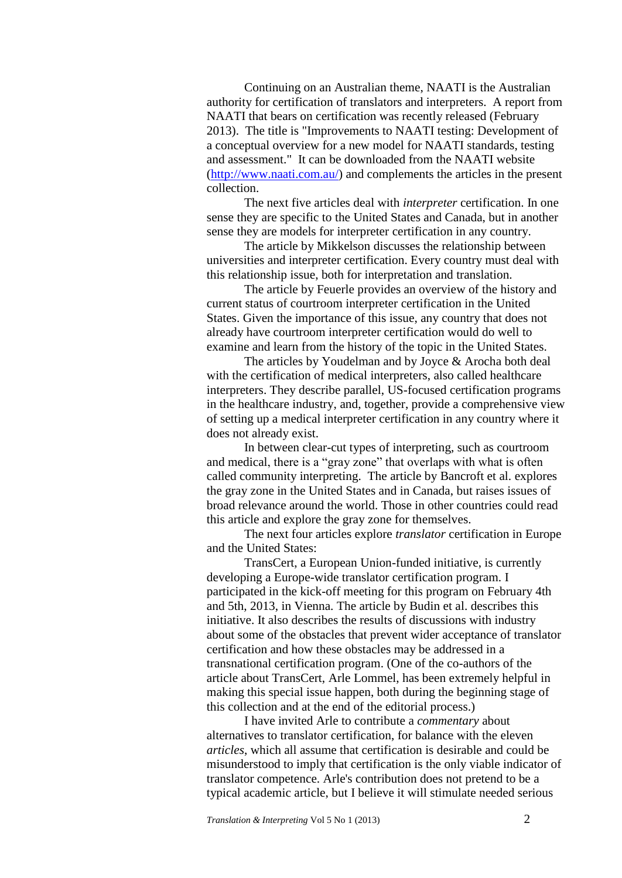Continuing on an Australian theme, NAATI is the Australian authority for certification of translators and interpreters. A report from NAATI that bears on certification was recently released (February 2013). The title is "Improvements to NAATI testing: Development of a conceptual overview for a new model for NAATI standards, testing and assessment." It can be downloaded from the NAATI website [\(http://www.naati.com.au/\)](http://www.naati.com.au/) and complements the articles in the present collection.

The next five articles deal with *interpreter* certification. In one sense they are specific to the United States and Canada, but in another sense they are models for interpreter certification in any country.

The article by Mikkelson discusses the relationship between universities and interpreter certification. Every country must deal with this relationship issue, both for interpretation and translation.

The article by Feuerle provides an overview of the history and current status of courtroom interpreter certification in the United States. Given the importance of this issue, any country that does not already have courtroom interpreter certification would do well to examine and learn from the history of the topic in the United States.

The articles by Youdelman and by Joyce & Arocha both deal with the certification of medical interpreters, also called healthcare interpreters. They describe parallel, US-focused certification programs in the healthcare industry, and, together, provide a comprehensive view of setting up a medical interpreter certification in any country where it does not already exist.

In between clear-cut types of interpreting, such as courtroom and medical, there is a "gray zone" that overlaps with what is often called community interpreting. The article by Bancroft et al. explores the gray zone in the United States and in Canada, but raises issues of broad relevance around the world. Those in other countries could read this article and explore the gray zone for themselves.

The next four articles explore *translator* certification in Europe and the United States:

TransCert, a European Union-funded initiative, is currently developing a Europe-wide translator certification program. I participated in the kick-off meeting for this program on February 4th and 5th, 2013, in Vienna. The article by Budin et al. describes this initiative. It also describes the results of discussions with industry about some of the obstacles that prevent wider acceptance of translator certification and how these obstacles may be addressed in a transnational certification program. (One of the co-authors of the article about TransCert, Arle Lommel, has been extremely helpful in making this special issue happen, both during the beginning stage of this collection and at the end of the editorial process.)

I have invited Arle to contribute a *commentary* about alternatives to translator certification, for balance with the eleven *articles*, which all assume that certification is desirable and could be misunderstood to imply that certification is the only viable indicator of translator competence. Arle's contribution does not pretend to be a typical academic article, but I believe it will stimulate needed serious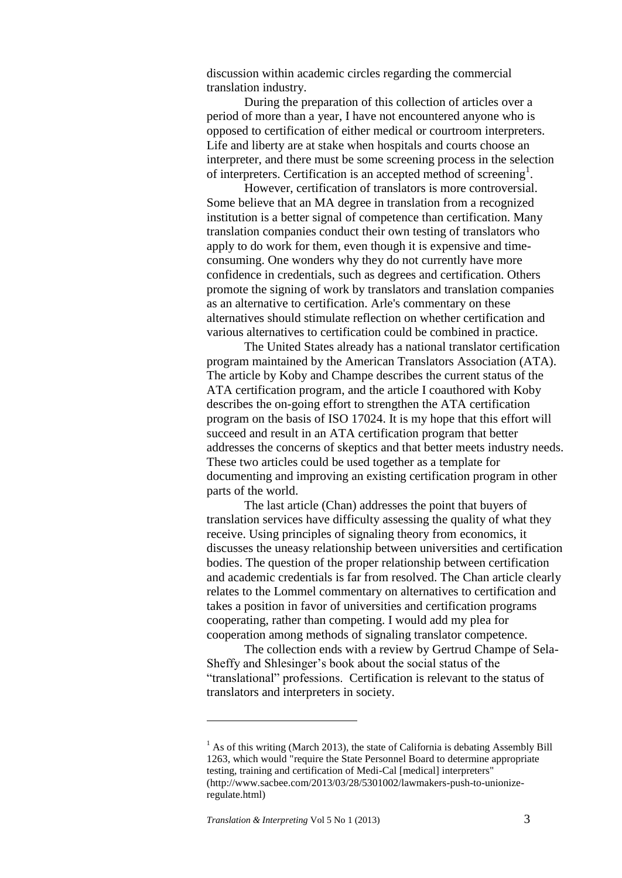discussion within academic circles regarding the commercial translation industry.

During the preparation of this collection of articles over a period of more than a year, I have not encountered anyone who is opposed to certification of either medical or courtroom interpreters. Life and liberty are at stake when hospitals and courts choose an interpreter, and there must be some screening process in the selection of interpreters. Certification is an accepted method of screening<sup>1</sup>.

However, certification of translators is more controversial. Some believe that an MA degree in translation from a recognized institution is a better signal of competence than certification. Many translation companies conduct their own testing of translators who apply to do work for them, even though it is expensive and timeconsuming. One wonders why they do not currently have more confidence in credentials, such as degrees and certification. Others promote the signing of work by translators and translation companies as an alternative to certification. Arle's commentary on these alternatives should stimulate reflection on whether certification and various alternatives to certification could be combined in practice.

The United States already has a national translator certification program maintained by the American Translators Association (ATA). The article by Koby and Champe describes the current status of the ATA certification program, and the article I coauthored with Koby describes the on-going effort to strengthen the ATA certification program on the basis of ISO 17024. It is my hope that this effort will succeed and result in an ATA certification program that better addresses the concerns of skeptics and that better meets industry needs. These two articles could be used together as a template for documenting and improving an existing certification program in other parts of the world.

The last article (Chan) addresses the point that buyers of translation services have difficulty assessing the quality of what they receive. Using principles of signaling theory from economics, it discusses the uneasy relationship between universities and certification bodies. The question of the proper relationship between certification and academic credentials is far from resolved. The Chan article clearly relates to the Lommel commentary on alternatives to certification and takes a position in favor of universities and certification programs cooperating, rather than competing. I would add my plea for cooperation among methods of signaling translator competence.

The collection ends with a review by Gertrud Champe of Sela-Sheffy and Shlesinger's book about the social status of the "translational" professions. Certification is relevant to the status of translators and interpreters in society.

<u>.</u>

 $<sup>1</sup>$  As of this writing (March 2013), the state of California is debating Assembly Bill</sup> 1263, which would "require the State Personnel Board to determine appropriate testing, training and certification of Medi-Cal [medical] interpreters" (http://www.sacbee.com/2013/03/28/5301002/lawmakers-push-to-unionizeregulate.html)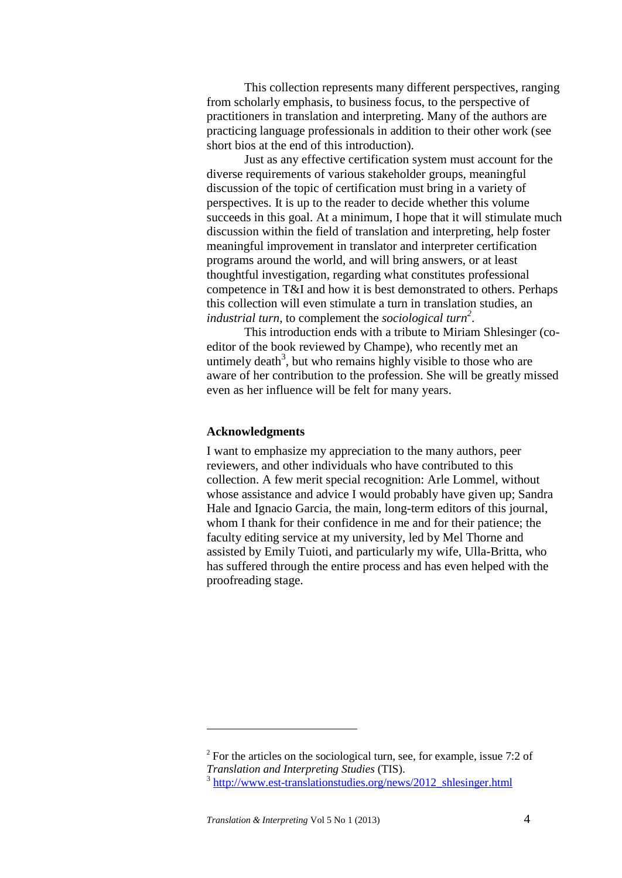This collection represents many different perspectives, ranging from scholarly emphasis, to business focus, to the perspective of practitioners in translation and interpreting. Many of the authors are practicing language professionals in addition to their other work (see short bios at the end of this introduction).

Just as any effective certification system must account for the diverse requirements of various stakeholder groups, meaningful discussion of the topic of certification must bring in a variety of perspectives. It is up to the reader to decide whether this volume succeeds in this goal. At a minimum, I hope that it will stimulate much discussion within the field of translation and interpreting, help foster meaningful improvement in translator and interpreter certification programs around the world, and will bring answers, or at least thoughtful investigation, regarding what constitutes professional competence in T&I and how it is best demonstrated to others. Perhaps this collection will even stimulate a turn in translation studies, an *industrial turn*, to complement the *sociological turn<sup>2</sup>* .

This introduction ends with a tribute to Miriam Shlesinger (coeditor of the book reviewed by Champe), who recently met an untimely death<sup>3</sup>, but who remains highly visible to those who are aware of her contribution to the profession. She will be greatly missed even as her influence will be felt for many years.

#### **Acknowledgments**

I want to emphasize my appreciation to the many authors, peer reviewers, and other individuals who have contributed to this collection. A few merit special recognition: Arle Lommel, without whose assistance and advice I would probably have given up; Sandra Hale and Ignacio Garcia, the main, long-term editors of this journal, whom I thank for their confidence in me and for their patience; the faculty editing service at my university, led by Mel Thorne and assisted by Emily Tuioti, and particularly my wife, Ulla-Britta, who has suffered through the entire process and has even helped with the proofreading stage.

1

<sup>&</sup>lt;sup>2</sup> For the articles on the sociological turn, see, for example, issue 7:2 of *Translation and Interpreting Studies* (TIS).

<sup>&</sup>lt;sup>3</sup> [http://www.est-translationstudies.org/news/2012\\_shlesinger.html](http://www.est-translationstudies.org/news/2012_shlesinger.html)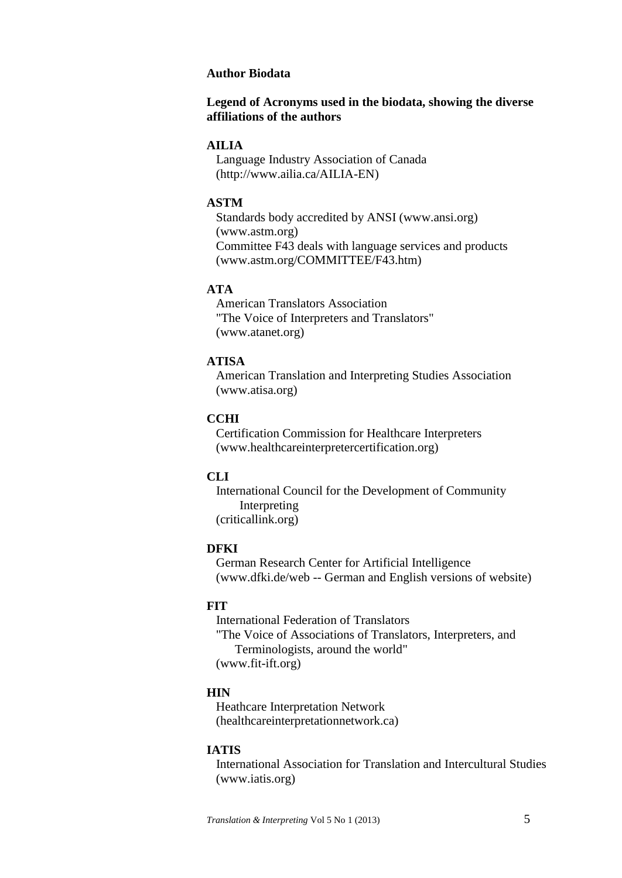#### **Author Biodata**

### **Legend of Acronyms used in the biodata, showing the diverse affiliations of the authors**

### **AILIA**

 Language Industry Association of Canada (http://www.ailia.ca/AILIA-EN)

### **ASTM**

 Standards body accredited by ANSI (www.ansi.org) (www.astm.org) Committee F43 deals with language services and products (www.astm.org/COMMITTEE/F43.htm)

#### **ATA**

 American Translators Association "The Voice of Interpreters and Translators" (www.atanet.org)

### **ATISA**

 American Translation and Interpreting Studies Association (www.atisa.org)

#### **CCHI**

 Certification Commission for Healthcare Interpreters (www.healthcareinterpretercertification.org)

### **CLI**

 International Council for the Development of Community Interpreting (criticallink.org)

#### **DFKI**

 German Research Center for Artificial Intelligence (www.dfki.de/web -- German and English versions of website)

#### **FIT**

 International Federation of Translators "The Voice of Associations of Translators, Interpreters, and Terminologists, around the world" (www.fit-ift.org)

#### **HIN**

 Heathcare Interpretation Network (healthcareinterpretationnetwork.ca)

#### **IATIS**

 International Association for Translation and Intercultural Studies (www.iatis.org)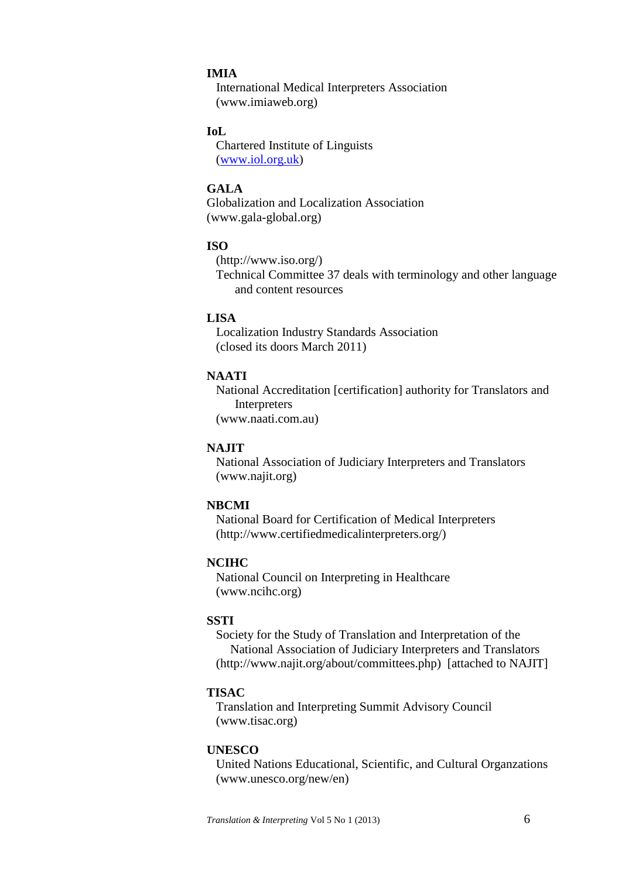#### **IMIA**

 International Medical Interpreters Association (www.imiaweb.org)

### **IoL**

 Chartered Institute of Linguists [\(www.iol.org.uk\)](http://www.iol.org.uk/)

### **GALA**

Globalization and Localization Association (www.gala-global.org)

#### **ISO**

 (http://www.iso.org/) Technical Committee 37 deals with terminology and other language and content resources

### **LISA**

 Localization Industry Standards Association (closed its doors March 2011)

### **NAATI**

 National Accreditation [certification] authority for Translators and Interpreters (www.naati.com.au)

#### **NAJIT**

 National Association of Judiciary Interpreters and Translators (www.najit.org)

#### **NBCMI**

 National Board for Certification of Medical Interpreters (http://www.certifiedmedicalinterpreters.org/)

#### **NCIHC**

 National Council on Interpreting in Healthcare (www.ncihc.org)

#### **SSTI**

 Society for the Study of Translation and Interpretation of the National Association of Judiciary Interpreters and Translators (http://www.najit.org/about/committees.php) [attached to NAJIT]

#### **TISAC**

 Translation and Interpreting Summit Advisory Council (www.tisac.org)

### **UNESCO**

 United Nations Educational, Scientific, and Cultural Organzations (www.unesco.org/new/en)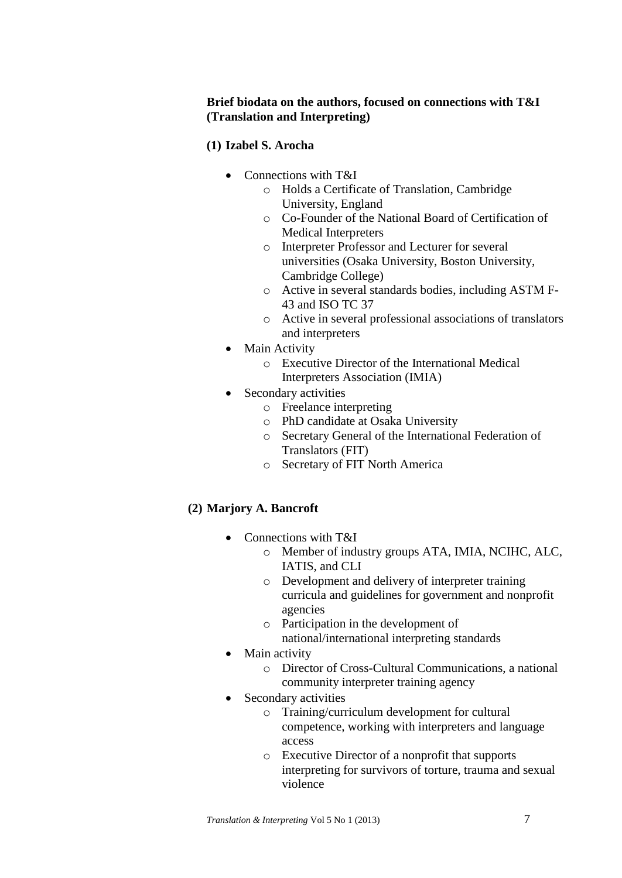### **Brief biodata on the authors, focused on connections with T&I (Translation and Interpreting)**

### **(1) Izabel S. Arocha**

- Connections with T&I
	- o Holds a Certificate of Translation, Cambridge University, England
	- o Co-Founder of the National Board of Certification of Medical Interpreters
	- o Interpreter Professor and Lecturer for several universities (Osaka University, Boston University, Cambridge College)
	- o Active in several standards bodies, including ASTM F-43 and ISO TC 37
	- o Active in several professional associations of translators and interpreters
- Main Activity
	- o Executive Director of the International Medical Interpreters Association (IMIA)
- Secondary activities
	- o Freelance interpreting
	- o PhD candidate at Osaka University
	- o Secretary General of the International Federation of Translators (FIT)
	- o Secretary of FIT North America

# **(2) Marjory A. Bancroft**

- Connections with T&I
	- o Member of industry groups ATA, IMIA, NCIHC, ALC, IATIS, and CLI
	- o Development and delivery of interpreter training curricula and guidelines for government and nonprofit agencies
	- o Participation in the development of national/international interpreting standards
- Main activity
	- o Director of Cross-Cultural Communications, a national community interpreter training agency
- Secondary activities
	- o Training/curriculum development for cultural competence, working with interpreters and language access
	- o Executive Director of a nonprofit that supports interpreting for survivors of torture, trauma and sexual violence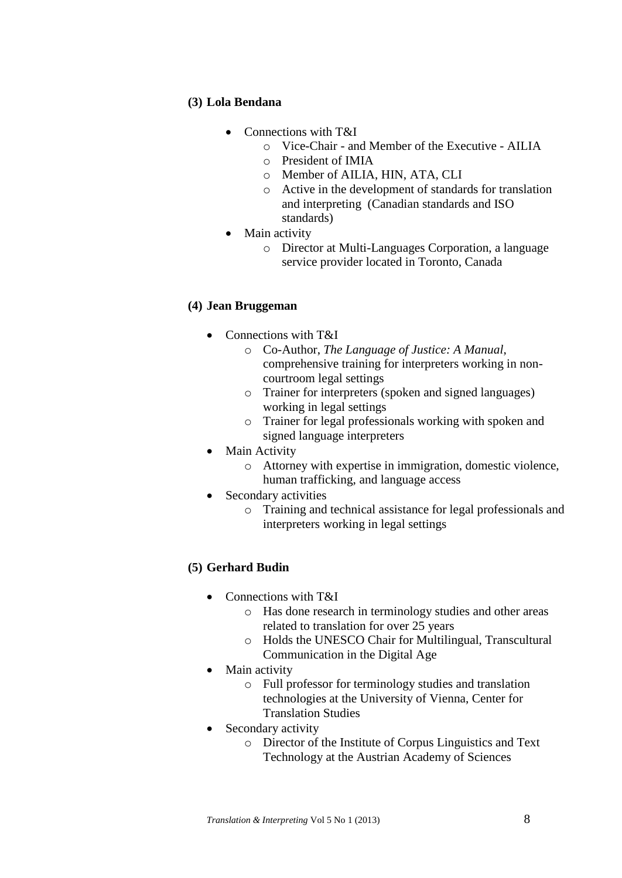### **(3) Lola Bendana**

- Connections with T&I
	- o Vice-Chair and Member of the Executive AILIA
	- o President of IMIA
	- o Member of AILIA, HIN, ATA, CLI
	- o Active in the development of standards for translation and interpreting (Canadian standards and ISO standards)
- Main activity
	- o Director at Multi-Languages Corporation, a language service provider located in Toronto, Canada

### **(4) Jean Bruggeman**

- Connections with T&I
	- o Co-Author, *The Language of Justice: A Manual*, comprehensive training for interpreters working in noncourtroom legal settings
	- o Trainer for interpreters (spoken and signed languages) working in legal settings
	- o Trainer for legal professionals working with spoken and signed language interpreters
- Main Activity
	- o Attorney with expertise in immigration, domestic violence, human trafficking, and language access
- Secondary activities
	- o Training and technical assistance for legal professionals and interpreters working in legal settings

### **(5) Gerhard Budin**

- Connections with T&I
	- o Has done research in terminology studies and other areas related to translation for over 25 years
	- o Holds the UNESCO Chair for Multilingual, Transcultural Communication in the Digital Age
- Main activity
	- o Full professor for terminology studies and translation technologies at the University of Vienna, Center for Translation Studies
- Secondary activity
	- o Director of the Institute of Corpus Linguistics and Text Technology at the Austrian Academy of Sciences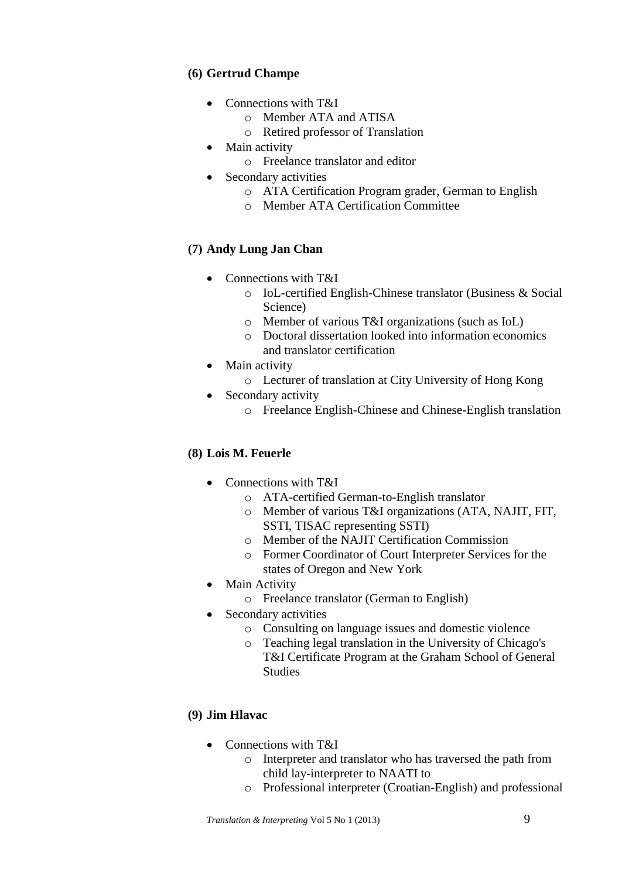# **(6) Gertrud Champe**

- Connections with T&I
	- o Member ATA and ATISA
	- o Retired professor of Translation
- Main activity
	- o Freelance translator and editor
- Secondary activities
	- o ATA Certification Program grader, German to English
	- o Member ATA Certification Committee

# **(7) Andy Lung Jan Chan**

- Connections with T&I
	- o IoL-certified English-Chinese translator (Business & Social Science)
	- o Member of various T&I organizations (such as IoL)
	- o Doctoral dissertation looked into information economics and translator certification
- Main activity
	- o Lecturer of translation at City University of Hong Kong
- Secondary activity
	- o Freelance English-Chinese and Chinese-English translation

### **(8) Lois M. Feuerle**

- Connections with T&I
	- o ATA-certified German-to-English translator
	- o Member of various T&I organizations (ATA, NAJIT, FIT, SSTI, TISAC representing SSTI)
	- o Member of the NAJIT Certification Commission
	- o Former Coordinator of Court Interpreter Services for the states of Oregon and New York
- Main Activity
	- o Freelance translator (German to English)
- Secondary activities
	- o Consulting on language issues and domestic violence
	- o Teaching legal translation in the University of Chicago's T&I Certificate Program at the Graham School of General **Studies**

### **(9) Jim Hlavac**

- Connections with T&I
	- o Interpreter and translator who has traversed the path from child lay-interpreter to NAATI to
	- o Professional interpreter (Croatian-English) and professional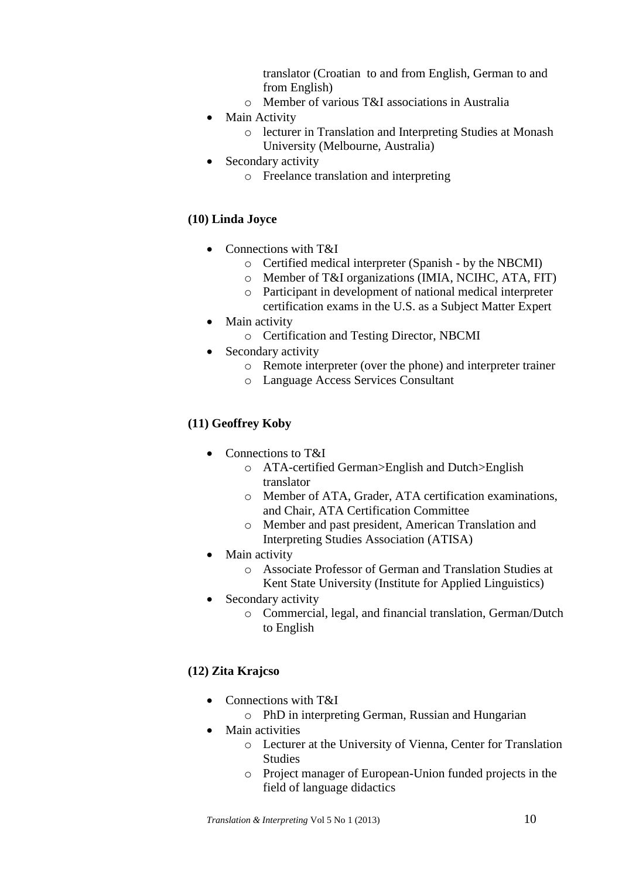translator (Croatian to and from English, German to and from English)

- o Member of various T&I associations in Australia
- Main Activity
	- o lecturer in Translation and Interpreting Studies at Monash University (Melbourne, Australia)
- Secondary activity
	- o Freelance translation and interpreting

### **(10) Linda Joyce**

- Connections with T&I
	- o Certified medical interpreter (Spanish by the NBCMI)
	- o Member of T&I organizations (IMIA, NCIHC, ATA, FIT)
	- o Participant in development of national medical interpreter certification exams in the U.S. as a Subject Matter Expert
- Main activity
	- o Certification and Testing Director, NBCMI
- Secondary activity
	- o Remote interpreter (over the phone) and interpreter trainer
	- o Language Access Services Consultant

### **(11) Geoffrey Koby**

- Connections to T&I
	- o ATA-certified German>English and Dutch>English translator
	- o Member of ATA, Grader, ATA certification examinations, and Chair, ATA Certification Committee
	- o Member and past president, American Translation and Interpreting Studies Association (ATISA)
- Main activity
	- o Associate Professor of German and Translation Studies at Kent State University (Institute for Applied Linguistics)
- Secondary activity
	- o Commercial, legal, and financial translation, German/Dutch to English

### **(12) Zita Krajcso**

- Connections with T&I
	- o PhD in interpreting German, Russian and Hungarian
- Main activities
	- o Lecturer at the University of Vienna, Center for Translation Studies
	- o Project manager of European-Union funded projects in the field of language didactics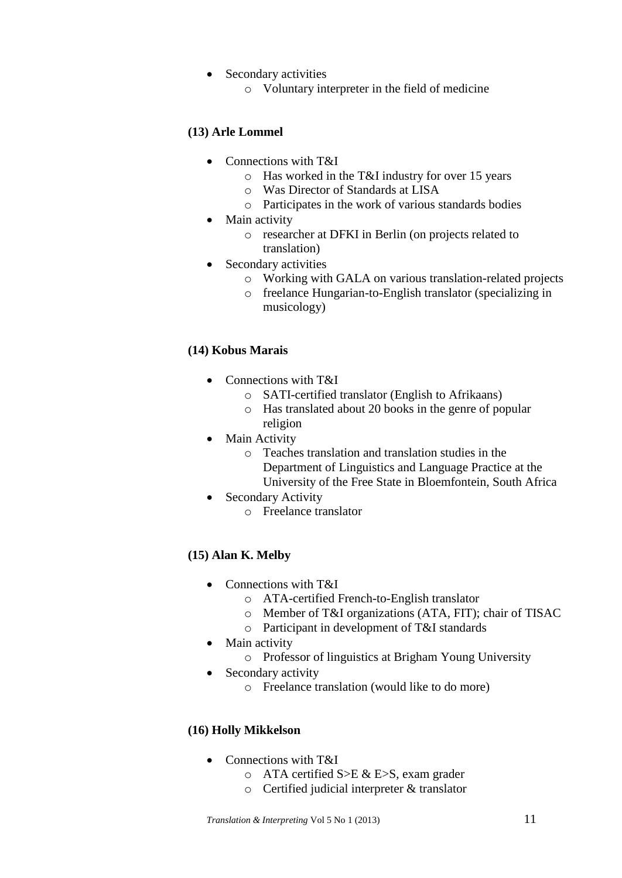- Secondary activities
	- o Voluntary interpreter in the field of medicine

# **(13) Arle Lommel**

- Connections with T&I
	- o Has worked in the T&I industry for over 15 years
	- o Was Director of Standards at LISA
	- o Participates in the work of various standards bodies
- Main activity
	- o researcher at DFKI in Berlin (on projects related to translation)
- Secondary activities
	- o Working with GALA on various translation-related projects
	- o freelance Hungarian-to-English translator (specializing in musicology)

# **(14) Kobus Marais**

- Connections with T&I
	- o SATI-certified translator (English to Afrikaans)
	- o Has translated about 20 books in the genre of popular religion
- Main Activity
	- o Teaches translation and translation studies in the Department of Linguistics and Language Practice at the University of the Free State in Bloemfontein, South Africa
- Secondary Activity
	- o Freelance translator

# **(15) Alan K. Melby**

- Connections with T&I
	- o ATA-certified French-to-English translator
	- o Member of T&I organizations (ATA, FIT); chair of TISAC
	- o Participant in development of T&I standards
- Main activity
	- o Professor of linguistics at Brigham Young University
- Secondary activity
	- o Freelance translation (would like to do more)

# **(16) Holly Mikkelson**

- Connections with T&I
	- o ATA certified S>E & E>S, exam grader
	- o Certified judicial interpreter & translator